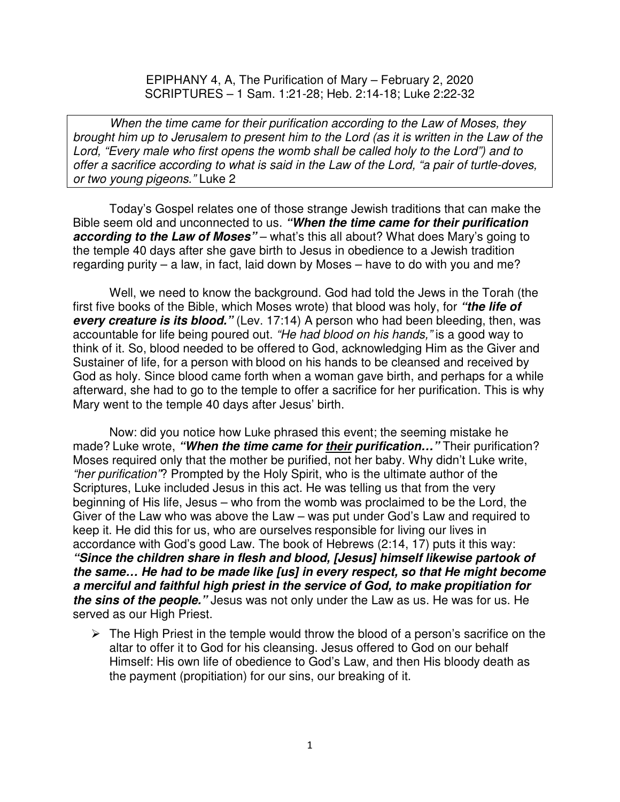EPIPHANY 4, A, The Purification of Mary – February 2, 2020 SCRIPTURES – 1 Sam. 1:21-28; Heb. 2:14-18; Luke 2:22-32

When the time came for their purification according to the Law of Moses, they brought him up to Jerusalem to present him to the Lord (as it is written in the Law of the Lord, "Every male who first opens the womb shall be called holy to the Lord") and to offer a sacrifice according to what is said in the Law of the Lord, "a pair of turtle-doves, or two young pigeons." Luke 2

Today's Gospel relates one of those strange Jewish traditions that can make the Bible seem old and unconnected to us. **"When the time came for their purification according to the Law of Moses**" – what's this all about? What does Mary's going to the temple 40 days after she gave birth to Jesus in obedience to a Jewish tradition regarding purity – a law, in fact, laid down by Moses – have to do with you and me?

Well, we need to know the background. God had told the Jews in the Torah (the first five books of the Bible, which Moses wrote) that blood was holy, for **"the life of every creature is its blood."** (Lev. 17:14) A person who had been bleeding, then, was accountable for life being poured out. "He had blood on his hands," is a good way to think of it. So, blood needed to be offered to God, acknowledging Him as the Giver and Sustainer of life, for a person with blood on his hands to be cleansed and received by God as holy. Since blood came forth when a woman gave birth, and perhaps for a while afterward, she had to go to the temple to offer a sacrifice for her purification. This is why Mary went to the temple 40 days after Jesus' birth.

Now: did you notice how Luke phrased this event; the seeming mistake he made? Luke wrote, **"When the time came for their purification…"** Their purification? Moses required only that the mother be purified, not her baby. Why didn't Luke write, "her purification"? Prompted by the Holy Spirit, who is the ultimate author of the Scriptures, Luke included Jesus in this act. He was telling us that from the very beginning of His life, Jesus – who from the womb was proclaimed to be the Lord, the Giver of the Law who was above the Law – was put under God's Law and required to keep it. He did this for us, who are ourselves responsible for living our lives in accordance with God's good Law. The book of Hebrews (2:14, 17) puts it this way: **"Since the children share in flesh and blood, [Jesus] himself likewise partook of the same… He had to be made like [us] in every respect, so that He might become a merciful and faithful high priest in the service of God, to make propitiation for the sins of the people."** Jesus was not only under the Law as us. He was for us. He served as our High Priest.

 $\triangleright$  The High Priest in the temple would throw the blood of a person's sacrifice on the altar to offer it to God for his cleansing. Jesus offered to God on our behalf Himself: His own life of obedience to God's Law, and then His bloody death as the payment (propitiation) for our sins, our breaking of it.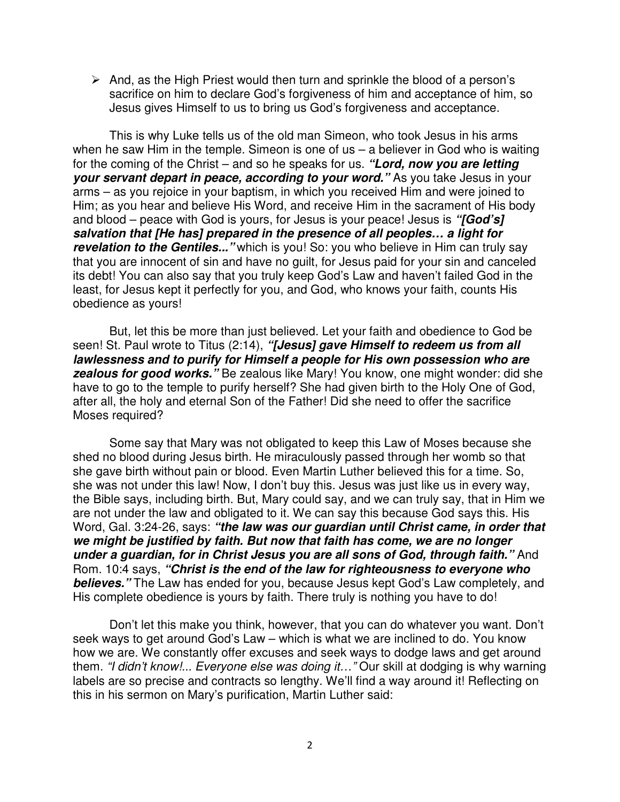$\triangleright$  And, as the High Priest would then turn and sprinkle the blood of a person's sacrifice on him to declare God's forgiveness of him and acceptance of him, so Jesus gives Himself to us to bring us God's forgiveness and acceptance.

This is why Luke tells us of the old man Simeon, who took Jesus in his arms when he saw Him in the temple. Simeon is one of  $us - a$  believer in God who is waiting for the coming of the Christ – and so he speaks for us. **"Lord, now you are letting your servant depart in peace, according to your word."** As you take Jesus in your arms – as you rejoice in your baptism, in which you received Him and were joined to Him; as you hear and believe His Word, and receive Him in the sacrament of His body and blood – peace with God is yours, for Jesus is your peace! Jesus is **"[God's] salvation that [He has] prepared in the presence of all peoples… a light for revelation to the Gentiles...**" which is you! So: you who believe in Him can truly say that you are innocent of sin and have no guilt, for Jesus paid for your sin and canceled its debt! You can also say that you truly keep God's Law and haven't failed God in the least, for Jesus kept it perfectly for you, and God, who knows your faith, counts His obedience as yours!

But, let this be more than just believed. Let your faith and obedience to God be seen! St. Paul wrote to Titus (2:14), **"[Jesus] gave Himself to redeem us from all lawlessness and to purify for Himself a people for His own possession who are zealous for good works.**" Be zealous like Mary! You know, one might wonder: did she have to go to the temple to purify herself? She had given birth to the Holy One of God, after all, the holy and eternal Son of the Father! Did she need to offer the sacrifice Moses required?

Some say that Mary was not obligated to keep this Law of Moses because she shed no blood during Jesus birth. He miraculously passed through her womb so that she gave birth without pain or blood. Even Martin Luther believed this for a time. So, she was not under this law! Now, I don't buy this. Jesus was just like us in every way, the Bible says, including birth. But, Mary could say, and we can truly say, that in Him we are not under the law and obligated to it. We can say this because God says this. His Word, Gal. 3:24-26, says: **"the law was our guardian until Christ came, in order that we might be justified by faith. But now that faith has come, we are no longer under a guardian, for in Christ Jesus you are all sons of God, through faith."** And Rom. 10:4 says, **"Christ is the end of the law for righteousness to everyone who believes."** The Law has ended for you, because Jesus kept God's Law completely, and His complete obedience is yours by faith. There truly is nothing you have to do!

Don't let this make you think, however, that you can do whatever you want. Don't seek ways to get around God's Law – which is what we are inclined to do. You know how we are. We constantly offer excuses and seek ways to dodge laws and get around them. "I didn't know!... Everyone else was doing it..." Our skill at dodging is why warning labels are so precise and contracts so lengthy. We'll find a way around it! Reflecting on this in his sermon on Mary's purification, Martin Luther said: